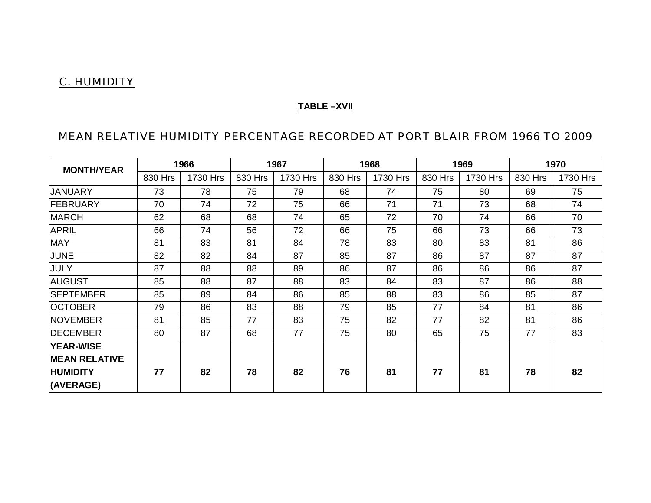## C. HUMIDITY

#### **TABLE –XVII**

#### MEAN RELATIVE HUMIDITY PERCENTAGE RECORDED AT PORT BLAIR FROM 1966 TO 2009

| <b>MONTH/YEAR</b>    | 1966    |          | 1967    |          | 1968    |          | 1969    |          | 1970    |          |
|----------------------|---------|----------|---------|----------|---------|----------|---------|----------|---------|----------|
|                      | 830 Hrs | 1730 Hrs | 830 Hrs | 1730 Hrs | 830 Hrs | 1730 Hrs | 830 Hrs | 1730 Hrs | 830 Hrs | 1730 Hrs |
| <b>JANUARY</b>       | 73      | 78       | 75      | 79       | 68      | 74       | 75      | 80       | 69      | 75       |
| FEBRUARY             | 70      | 74       | 72      | 75       | 66      | 71       | 71      | 73       | 68      | 74       |
| <b>MARCH</b>         | 62      | 68       | 68      | 74       | 65      | 72       | 70      | 74       | 66      | 70       |
| <b>APRIL</b>         | 66      | 74       | 56      | 72       | 66      | 75       | 66      | 73       | 66      | 73       |
| <b>MAY</b>           | 81      | 83       | 81      | 84       | 78      | 83       | 80      | 83       | 81      | 86       |
| <b>JUNE</b>          | 82      | 82       | 84      | 87       | 85      | 87       | 86      | 87       | 87      | 87       |
| <b>JULY</b>          | 87      | 88       | 88      | 89       | 86      | 87       | 86      | 86       | 86      | 87       |
| <b>AUGUST</b>        | 85      | 88       | 87      | 88       | 83      | 84       | 83      | 87       | 86      | 88       |
| <b>SEPTEMBER</b>     | 85      | 89       | 84      | 86       | 85      | 88       | 83      | 86       | 85      | 87       |
| <b>OCTOBER</b>       | 79      | 86       | 83      | 88       | 79      | 85       | 77      | 84       | 81      | 86       |
| <b>NOVEMBER</b>      | 81      | 85       | 77      | 83       | 75      | 82       | 77      | 82       | 81      | 86       |
| <b>DECEMBER</b>      | 80      | 87       | 68      | 77       | 75      | 80       | 65      | 75       | 77      | 83       |
| <b>YEAR-WISE</b>     |         |          |         |          |         |          |         |          |         |          |
| <b>MEAN RELATIVE</b> |         |          |         |          |         |          |         |          |         |          |
| <b>HUMIDITY</b>      | 77      | 82       | 78      | 82       | 76      | 81       | 77      | 81       | 78      | 82       |
| (AVERAGE)            |         |          |         |          |         |          |         |          |         |          |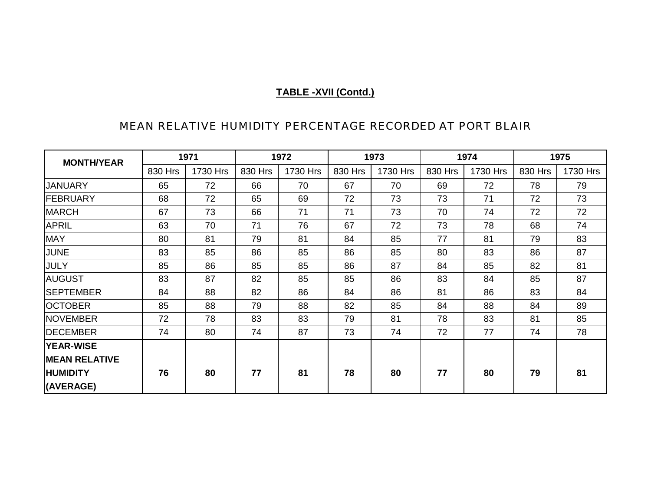| <b>MONTH/YEAR</b>    |         | 1971     | 1972    |          | 1973    |          | 1974    |          | 1975    |          |
|----------------------|---------|----------|---------|----------|---------|----------|---------|----------|---------|----------|
|                      | 830 Hrs | 1730 Hrs | 830 Hrs | 1730 Hrs | 830 Hrs | 1730 Hrs | 830 Hrs | 1730 Hrs | 830 Hrs | 1730 Hrs |
| <b>JANUARY</b>       | 65      | 72       | 66      | 70       | 67      | 70       | 69      | 72       | 78      | 79       |
| FEBRUARY             | 68      | 72       | 65      | 69       | 72      | 73       | 73      | 71       | 72      | 73       |
| <b>MARCH</b>         | 67      | 73       | 66      | 71       | 71      | 73       | 70      | 74       | 72      | 72       |
| <b>APRIL</b>         | 63      | 70       | 71      | 76       | 67      | 72       | 73      | 78       | 68      | 74       |
| <b>MAY</b>           | 80      | 81       | 79      | 81       | 84      | 85       | 77      | 81       | 79      | 83       |
| <b>JUNE</b>          | 83      | 85       | 86      | 85       | 86      | 85       | 80      | 83       | 86      | 87       |
| <b>JULY</b>          | 85      | 86       | 85      | 85       | 86      | 87       | 84      | 85       | 82      | 81       |
| <b>AUGUST</b>        | 83      | 87       | 82      | 85       | 85      | 86       | 83      | 84       | 85      | 87       |
| <b>SEPTEMBER</b>     | 84      | 88       | 82      | 86       | 84      | 86       | 81      | 86       | 83      | 84       |
| <b>OCTOBER</b>       | 85      | 88       | 79      | 88       | 82      | 85       | 84      | 88       | 84      | 89       |
| NOVEMBER             | 72      | 78       | 83      | 83       | 79      | 81       | 78      | 83       | 81      | 85       |
| <b>DECEMBER</b>      | 74      | 80       | 74      | 87       | 73      | 74       | 72      | 77       | 74      | 78       |
| <b>YEAR-WISE</b>     |         |          |         |          |         |          |         |          |         |          |
| <b>MEAN RELATIVE</b> |         |          |         |          |         |          |         |          |         |          |
| <b>HUMIDITY</b>      | 76      | 80       | 77      | 81       | 78      | 80       | 77      | 80       | 79      | 81       |
| (AVERAGE)            |         |          |         |          |         |          |         |          |         |          |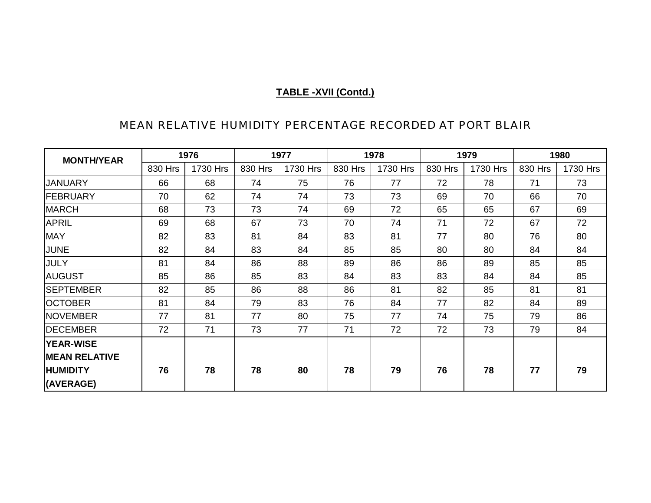| <b>MONTH/YEAR</b>    | 1976    |          | 1977    |          | 1978    |          | 1979    |          | 1980    |          |
|----------------------|---------|----------|---------|----------|---------|----------|---------|----------|---------|----------|
|                      | 830 Hrs | 1730 Hrs | 830 Hrs | 1730 Hrs | 830 Hrs | 1730 Hrs | 830 Hrs | 1730 Hrs | 830 Hrs | 1730 Hrs |
| <b>JANUARY</b>       | 66      | 68       | 74      | 75       | 76      | 77       | 72      | 78       | 71      | 73       |
| FEBRUARY             | 70      | 62       | 74      | 74       | 73      | 73       | 69      | 70       | 66      | 70       |
| <b>MARCH</b>         | 68      | 73       | 73      | 74       | 69      | 72       | 65      | 65       | 67      | 69       |
| <b>APRIL</b>         | 69      | 68       | 67      | 73       | 70      | 74       | 71      | 72       | 67      | 72       |
| <b>MAY</b>           | 82      | 83       | 81      | 84       | 83      | 81       | 77      | 80       | 76      | 80       |
| <b>JUNE</b>          | 82      | 84       | 83      | 84       | 85      | 85       | 80      | 80       | 84      | 84       |
| <b>JULY</b>          | 81      | 84       | 86      | 88       | 89      | 86       | 86      | 89       | 85      | 85       |
| <b>AUGUST</b>        | 85      | 86       | 85      | 83       | 84      | 83       | 83      | 84       | 84      | 85       |
| <b>SEPTEMBER</b>     | 82      | 85       | 86      | 88       | 86      | 81       | 82      | 85       | 81      | 81       |
| <b>OCTOBER</b>       | 81      | 84       | 79      | 83       | 76      | 84       | 77      | 82       | 84      | 89       |
| <b>NOVEMBER</b>      | 77      | 81       | 77      | 80       | 75      | 77       | 74      | 75       | 79      | 86       |
| <b>DECEMBER</b>      | 72      | 71       | 73      | 77       | 71      | 72       | 72      | 73       | 79      | 84       |
| <b>YEAR-WISE</b>     |         |          |         |          |         |          |         |          |         |          |
| <b>MEAN RELATIVE</b> |         |          |         |          |         |          |         |          |         |          |
| <b>HUMIDITY</b>      | 76      | 78       | 78      | 80       | 78      | 79       | 76      | 78       | 77      | 79       |
| (AVERAGE)            |         |          |         |          |         |          |         |          |         |          |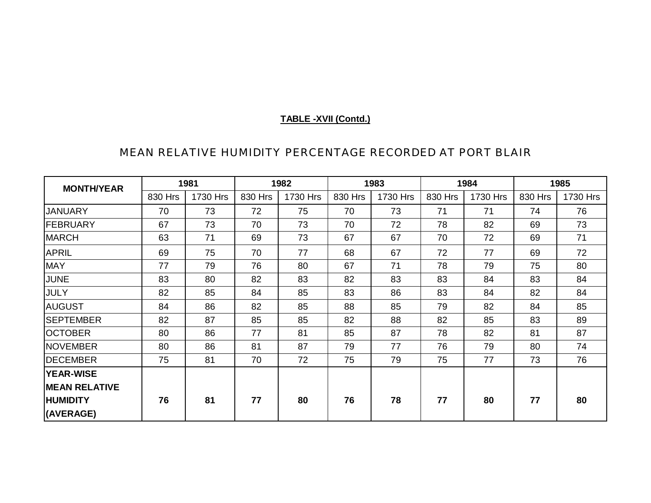| <b>MONTH/YEAR</b>    |         | 1981     | 1982    |          | 1983    |          | 1984    |          | 1985    |          |
|----------------------|---------|----------|---------|----------|---------|----------|---------|----------|---------|----------|
|                      | 830 Hrs | 1730 Hrs | 830 Hrs | 1730 Hrs | 830 Hrs | 1730 Hrs | 830 Hrs | 1730 Hrs | 830 Hrs | 1730 Hrs |
| <b>JANUARY</b>       | 70      | 73       | 72      | 75       | 70      | 73       | 71      | 71       | 74      | 76       |
| FEBRUARY             | 67      | 73       | 70      | 73       | 70      | 72       | 78      | 82       | 69      | 73       |
| <b>MARCH</b>         | 63      | 71       | 69      | 73       | 67      | 67       | 70      | 72       | 69      | 71       |
| <b>APRIL</b>         | 69      | 75       | 70      | 77       | 68      | 67       | 72      | 77       | 69      | 72       |
| <b>MAY</b>           | 77      | 79       | 76      | 80       | 67      | 71       | 78      | 79       | 75      | 80       |
| <b>JUNE</b>          | 83      | 80       | 82      | 83       | 82      | 83       | 83      | 84       | 83      | 84       |
| <b>JULY</b>          | 82      | 85       | 84      | 85       | 83      | 86       | 83      | 84       | 82      | 84       |
| <b>AUGUST</b>        | 84      | 86       | 82      | 85       | 88      | 85       | 79      | 82       | 84      | 85       |
| <b>SEPTEMBER</b>     | 82      | 87       | 85      | 85       | 82      | 88       | 82      | 85       | 83      | 89       |
| <b>OCTOBER</b>       | 80      | 86       | 77      | 81       | 85      | 87       | 78      | 82       | 81      | 87       |
| NOVEMBER             | 80      | 86       | 81      | 87       | 79      | 77       | 76      | 79       | 80      | 74       |
| <b>DECEMBER</b>      | 75      | 81       | 70      | 72       | 75      | 79       | 75      | 77       | 73      | 76       |
| <b>YEAR-WISE</b>     |         |          |         |          |         |          |         |          |         |          |
| <b>MEAN RELATIVE</b> |         |          |         |          |         |          |         |          |         |          |
| <b>HUMIDITY</b>      | 76      | 81       | 77      | 80       | 76      | 78       | 77      | 80       | 77      | 80       |
| (AVERAGE)            |         |          |         |          |         |          |         |          |         |          |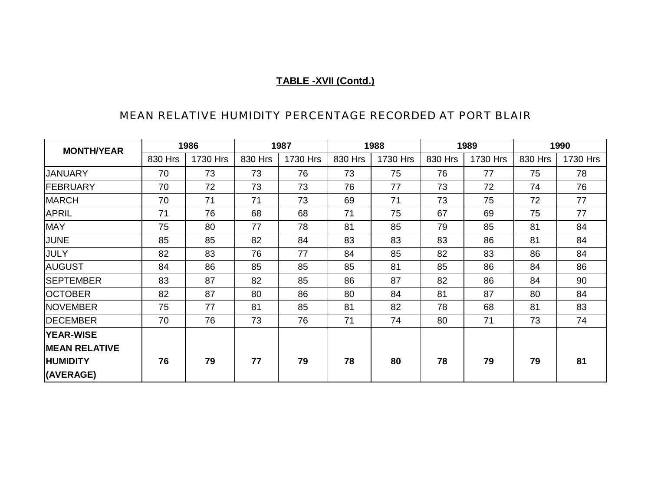| <b>MONTH/YEAR</b>    | 1986    |          | 1987    |          | 1988    |          | 1989    |          | 1990    |          |
|----------------------|---------|----------|---------|----------|---------|----------|---------|----------|---------|----------|
|                      | 830 Hrs | 1730 Hrs | 830 Hrs | 1730 Hrs | 830 Hrs | 1730 Hrs | 830 Hrs | 1730 Hrs | 830 Hrs | 1730 Hrs |
| <b>JANUARY</b>       | 70      | 73       | 73      | 76       | 73      | 75       | 76      | 77       | 75      | 78       |
| FEBRUARY             | 70      | 72       | 73      | 73       | 76      | 77       | 73      | 72       | 74      | 76       |
| <b>MARCH</b>         | 70      | 71       | 71      | 73       | 69      | 71       | 73      | 75       | 72      | 77       |
| <b>APRIL</b>         | 71      | 76       | 68      | 68       | 71      | 75       | 67      | 69       | 75      | 77       |
| <b>MAY</b>           | 75      | 80       | 77      | 78       | 81      | 85       | 79      | 85       | 81      | 84       |
| JUNE                 | 85      | 85       | 82      | 84       | 83      | 83       | 83      | 86       | 81      | 84       |
| <b>JULY</b>          | 82      | 83       | 76      | 77       | 84      | 85       | 82      | 83       | 86      | 84       |
| <b>AUGUST</b>        | 84      | 86       | 85      | 85       | 85      | 81       | 85      | 86       | 84      | 86       |
| <b>SEPTEMBER</b>     | 83      | 87       | 82      | 85       | 86      | 87       | 82      | 86       | 84      | 90       |
| <b>OCTOBER</b>       | 82      | 87       | 80      | 86       | 80      | 84       | 81      | 87       | 80      | 84       |
| <b>NOVEMBER</b>      | 75      | 77       | 81      | 85       | 81      | 82       | 78      | 68       | 81      | 83       |
| <b>DECEMBER</b>      | 70      | 76       | 73      | 76       | 71      | 74       | 80      | 71       | 73      | 74       |
| <b>YEAR-WISE</b>     |         |          |         |          |         |          |         |          |         |          |
| <b>MEAN RELATIVE</b> |         |          |         |          |         |          |         |          |         |          |
| <b>HUMIDITY</b>      | 76      | 79       | 77      | 79       | 78      | 80       | 78      | 79       | 79      | 81       |
| (AVERAGE)            |         |          |         |          |         |          |         |          |         |          |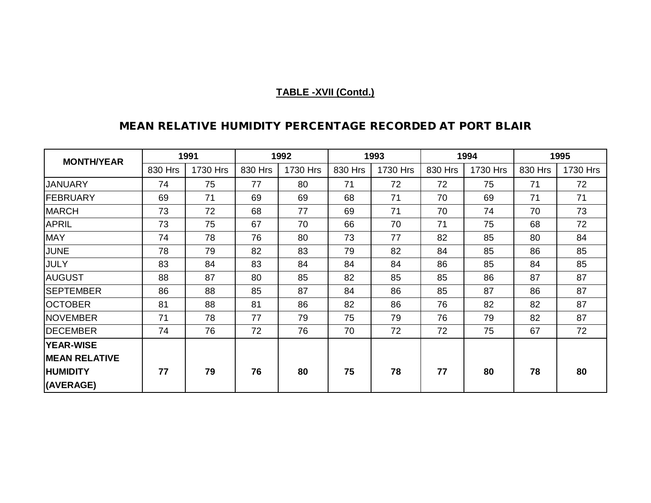| <b>MONTH/YEAR</b>    |         | 1991     | 1992    |          | 1993    |          | 1994    |          | 1995    |          |
|----------------------|---------|----------|---------|----------|---------|----------|---------|----------|---------|----------|
|                      | 830 Hrs | 1730 Hrs | 830 Hrs | 1730 Hrs | 830 Hrs | 1730 Hrs | 830 Hrs | 1730 Hrs | 830 Hrs | 1730 Hrs |
| <b>JANUARY</b>       | 74      | 75       | 77      | 80       | 71      | 72       | 72      | 75       | 71      | 72       |
| FEBRUARY             | 69      | 71       | 69      | 69       | 68      | 71       | 70      | 69       | 71      | 71       |
| <b>MARCH</b>         | 73      | 72       | 68      | 77       | 69      | 71       | 70      | 74       | 70      | 73       |
| <b>APRIL</b>         | 73      | 75       | 67      | 70       | 66      | 70       | 71      | 75       | 68      | 72       |
| <b>MAY</b>           | 74      | 78       | 76      | 80       | 73      | 77       | 82      | 85       | 80      | 84       |
| <b>JUNE</b>          | 78      | 79       | 82      | 83       | 79      | 82       | 84      | 85       | 86      | 85       |
| <b>JULY</b>          | 83      | 84       | 83      | 84       | 84      | 84       | 86      | 85       | 84      | 85       |
| <b>AUGUST</b>        | 88      | 87       | 80      | 85       | 82      | 85       | 85      | 86       | 87      | 87       |
| <b>SEPTEMBER</b>     | 86      | 88       | 85      | 87       | 84      | 86       | 85      | 87       | 86      | 87       |
| <b>OCTOBER</b>       | 81      | 88       | 81      | 86       | 82      | 86       | 76      | 82       | 82      | 87       |
| <b>NOVEMBER</b>      | 71      | 78       | 77      | 79       | 75      | 79       | 76      | 79       | 82      | 87       |
| <b>DECEMBER</b>      | 74      | 76       | 72      | 76       | 70      | 72       | 72      | 75       | 67      | 72       |
| <b>YEAR-WISE</b>     |         |          |         |          |         |          |         |          |         |          |
| <b>MEAN RELATIVE</b> |         |          |         |          |         |          |         |          |         |          |
| <b>HUMIDITY</b>      | 77      | 79       | 76      | 80       | 75      | 78       | 77      | 80       | 78      | 80       |
| (AVERAGE)            |         |          |         |          |         |          |         |          |         |          |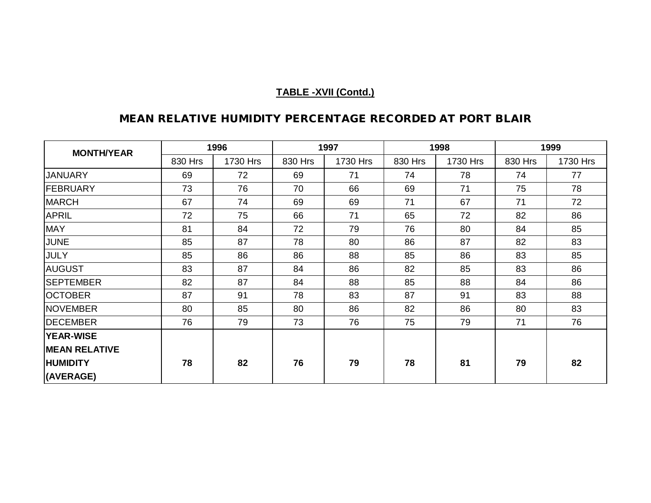| <b>MONTH/YEAR</b>    |         | 1996     |         | 1997     |         | 1998     | 1999    |          |  |
|----------------------|---------|----------|---------|----------|---------|----------|---------|----------|--|
|                      | 830 Hrs | 1730 Hrs | 830 Hrs | 1730 Hrs | 830 Hrs | 1730 Hrs | 830 Hrs | 1730 Hrs |  |
| <b>JANUARY</b>       | 69      | 72       | 69      | 71       | 74      | 78       | 74      | 77       |  |
| FEBRUARY             | 73      | 76       | 70      | 66       | 69      | 71       | 75      | 78       |  |
| <b>MARCH</b>         | 67      | 74       | 69      | 69       | 71      | 67       | 71      | 72       |  |
| <b>APRIL</b>         | 72      | 75       | 66      | 71       | 65      | 72       | 82      | 86       |  |
| <b>MAY</b>           | 81      | 84       | 72      | 79       | 76      | 80       | 84      | 85       |  |
| <b>JUNE</b>          | 85      | 87       | 78      | 80       | 86      | 87       | 82      | 83       |  |
| JULY                 | 85      | 86       | 86      | 88       | 85      | 86       | 83      | 85       |  |
| <b>AUGUST</b>        | 83      | 87       | 84      | 86       | 82      | 85       | 83      | 86       |  |
| <b>SEPTEMBER</b>     | 82      | 87       | 84      | 88       | 85      | 88       | 84      | 86       |  |
| <b>OCTOBER</b>       | 87      | 91       | 78      | 83       | 87      | 91       | 83      | 88       |  |
| <b>NOVEMBER</b>      | 80      | 85       | 80      | 86       | 82      | 86       | 80      | 83       |  |
| <b>DECEMBER</b>      | 76      | 79       | 73      | 76       | 75      | 79       | 71      | 76       |  |
| <b>YEAR-WISE</b>     |         |          |         |          |         |          |         |          |  |
| <b>MEAN RELATIVE</b> |         |          |         |          |         |          |         |          |  |
| <b>HUMIDITY</b>      | 78      | 82       | 76      | 79       | 78      | 81       | 79      | 82       |  |
| (AVERAGE)            |         |          |         |          |         |          |         |          |  |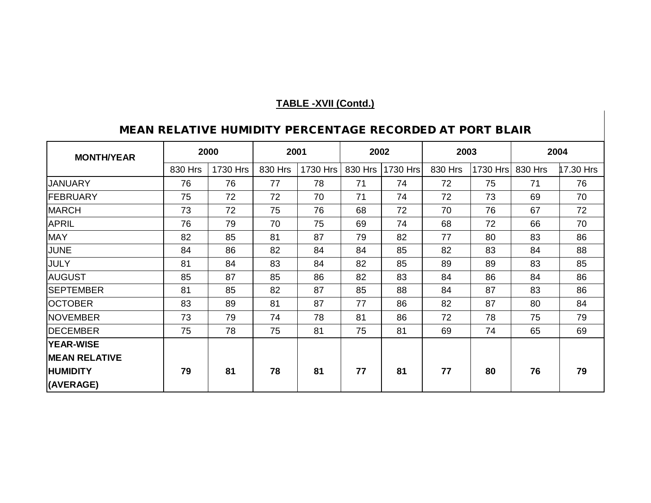| <b>MONTH/YEAR</b>    | 2000    |          | 2001    |          | 2002    |          | 2003    |          | 2004    |           |
|----------------------|---------|----------|---------|----------|---------|----------|---------|----------|---------|-----------|
|                      | 830 Hrs | 1730 Hrs | 830 Hrs | 1730 Hrs | 830 Hrs | 1730 Hrs | 830 Hrs | 1730 Hrs | 830 Hrs | 17.30 Hrs |
| <b>JANUARY</b>       | 76      | 76       | 77      | 78       | 71      | 74       | 72      | 75       | 71      | 76        |
| FEBRUARY             | 75      | 72       | 72      | 70       | 71      | 74       | 72      | 73       | 69      | 70        |
| <b>MARCH</b>         | 73      | 72       | 75      | 76       | 68      | 72       | 70      | 76       | 67      | 72        |
| <b>APRIL</b>         | 76      | 79       | 70      | 75       | 69      | 74       | 68      | 72       | 66      | 70        |
| <b>MAY</b>           | 82      | 85       | 81      | 87       | 79      | 82       | 77      | 80       | 83      | 86        |
| <b>JUNE</b>          | 84      | 86       | 82      | 84       | 84      | 85       | 82      | 83       | 84      | 88        |
| <b>JULY</b>          | 81      | 84       | 83      | 84       | 82      | 85       | 89      | 89       | 83      | 85        |
| <b>AUGUST</b>        | 85      | 87       | 85      | 86       | 82      | 83       | 84      | 86       | 84      | 86        |
| <b>SEPTEMBER</b>     | 81      | 85       | 82      | 87       | 85      | 88       | 84      | 87       | 83      | 86        |
| <b>OCTOBER</b>       | 83      | 89       | 81      | 87       | 77      | 86       | 82      | 87       | 80      | 84        |
| <b>NOVEMBER</b>      | 73      | 79       | 74      | 78       | 81      | 86       | 72      | 78       | 75      | 79        |
| <b>DECEMBER</b>      | 75      | 78       | 75      | 81       | 75      | 81       | 69      | 74       | 65      | 69        |
| <b>YEAR-WISE</b>     |         |          |         |          |         |          |         |          |         |           |
| <b>MEAN RELATIVE</b> |         |          |         |          |         |          |         |          |         |           |
| <b>HUMIDITY</b>      | 79      | 81       | 78      | 81       | 77      | 81       | 77      | 80       | 76      | 79        |
| (AVERAGE)            |         |          |         |          |         |          |         |          |         |           |